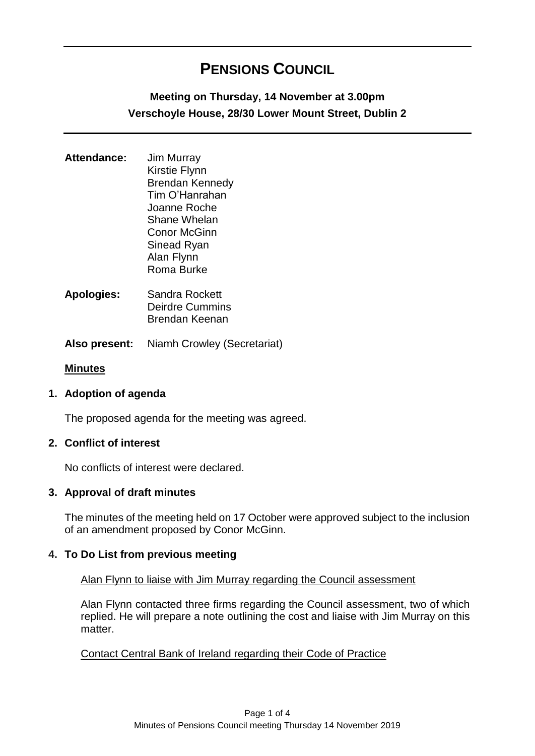# **PENSIONS COUNCIL**

## **Meeting on Thursday, 14 November at 3.00pm Verschoyle House, 28/30 Lower Mount Street, Dublin 2**

| Attendance: | <b>Jim Murray</b>      |
|-------------|------------------------|
|             | <b>Kirstie Flynn</b>   |
|             | <b>Brendan Kennedy</b> |
|             | Tim O'Hanrahan         |
|             | Joanne Roche           |
|             | Shane Whelan           |
|             | <b>Conor McGinn</b>    |
|             | Sinead Ryan            |
|             | Alan Flynn             |
|             | Roma Burke             |
|             |                        |

- **Apologies:** Sandra Rockett Deirdre Cummins Brendan Keenan
- **Also present:** Niamh Crowley (Secretariat)

#### **Minutes**

## **1. Adoption of agenda**

The proposed agenda for the meeting was agreed.

#### **2. Conflict of interest**

No conflicts of interest were declared.

## **3. Approval of draft minutes**

The minutes of the meeting held on 17 October were approved subject to the inclusion of an amendment proposed by Conor McGinn.

## **4. To Do List from previous meeting**

#### Alan Flynn to liaise with Jim Murray regarding the Council assessment

Alan Flynn contacted three firms regarding the Council assessment, two of which replied. He will prepare a note outlining the cost and liaise with Jim Murray on this matter.

#### Contact Central Bank of Ireland regarding their Code of Practice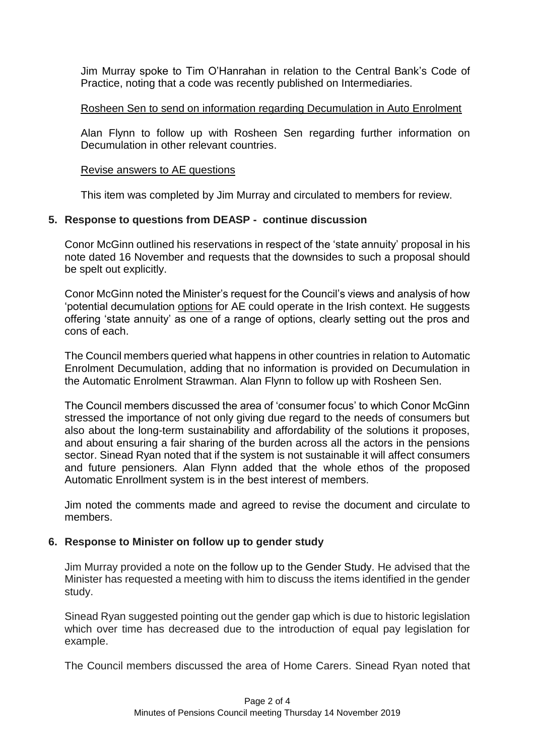Jim Murray spoke to Tim O'Hanrahan in relation to the Central Bank's Code of Practice, noting that a code was recently published on Intermediaries.

## Rosheen Sen to send on information regarding Decumulation in Auto Enrolment

Alan Flynn to follow up with Rosheen Sen regarding further information on Decumulation in other relevant countries.

## Revise answers to AE questions

This item was completed by Jim Murray and circulated to members for review.

## **5. Response to questions from DEASP - continue discussion**

Conor McGinn outlined his reservations in respect of the 'state annuity' proposal in his note dated 16 November and requests that the downsides to such a proposal should be spelt out explicitly.

Conor McGinn noted the Minister's request for the Council's views and analysis of how 'potential decumulation options for AE could operate in the Irish context. He suggests offering 'state annuity' as one of a range of options, clearly setting out the pros and cons of each.

The Council members queried what happens in other countries in relation to Automatic Enrolment Decumulation, adding that no information is provided on Decumulation in the Automatic Enrolment Strawman. Alan Flynn to follow up with Rosheen Sen.

The Council members discussed the area of 'consumer focus' to which Conor McGinn stressed the importance of not only giving due regard to the needs of consumers but also about the long-term sustainability and affordability of the solutions it proposes, and about ensuring a fair sharing of the burden across all the actors in the pensions sector. Sinead Ryan noted that if the system is not sustainable it will affect consumers and future pensioners. Alan Flynn added that the whole ethos of the proposed Automatic Enrollment system is in the best interest of members.

Jim noted the comments made and agreed to revise the document and circulate to members.

## **6. Response to Minister on follow up to gender study**

Jim Murray provided a note on the follow up to the Gender Study. He advised that the Minister has requested a meeting with him to discuss the items identified in the gender study.

Sinead Ryan suggested pointing out the gender gap which is due to historic legislation which over time has decreased due to the introduction of equal pay legislation for example.

The Council members discussed the area of Home Carers. Sinead Ryan noted that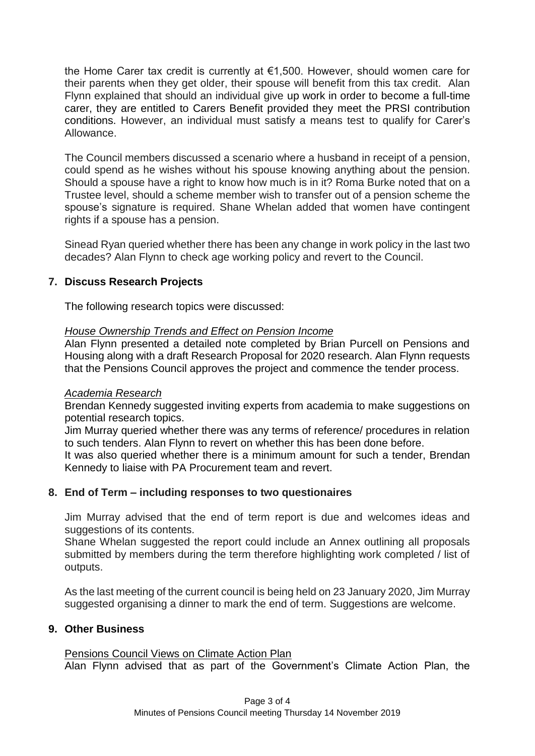the Home Carer tax credit is currently at €1,500. However, should women care for their parents when they get older, their spouse will benefit from this tax credit. Alan Flynn explained that should an individual give up work in order to become a full-time carer, they are entitled to Carers Benefit provided they meet the PRSI contribution conditions. However, an individual must satisfy a means test to qualify for Carer's Allowance.

The Council members discussed a scenario where a husband in receipt of a pension, could spend as he wishes without his spouse knowing anything about the pension. Should a spouse have a right to know how much is in it? Roma Burke noted that on a Trustee level, should a scheme member wish to transfer out of a pension scheme the spouse's signature is required. Shane Whelan added that women have contingent rights if a spouse has a pension.

Sinead Ryan queried whether there has been any change in work policy in the last two decades? Alan Flynn to check age working policy and revert to the Council.

## **7. Discuss Research Projects**

The following research topics were discussed:

#### *House Ownership Trends and Effect on Pension Income*

Alan Flynn presented a detailed note completed by Brian Purcell on Pensions and Housing along with a draft Research Proposal for 2020 research. Alan Flynn requests that the Pensions Council approves the project and commence the tender process.

#### *Academia Research*

Brendan Kennedy suggested inviting experts from academia to make suggestions on potential research topics.

Jim Murray queried whether there was any terms of reference/ procedures in relation to such tenders. Alan Flynn to revert on whether this has been done before.

It was also queried whether there is a minimum amount for such a tender, Brendan Kennedy to liaise with PA Procurement team and revert.

## **8. End of Term – including responses to two questionaires**

Jim Murray advised that the end of term report is due and welcomes ideas and suggestions of its contents.

Shane Whelan suggested the report could include an Annex outlining all proposals submitted by members during the term therefore highlighting work completed / list of outputs.

As the last meeting of the current council is being held on 23 January 2020, Jim Murray suggested organising a dinner to mark the end of term. Suggestions are welcome.

## **9. Other Business**

## Pensions Council Views on Climate Action Plan

Alan Flynn advised that as part of the Government's Climate Action Plan, the